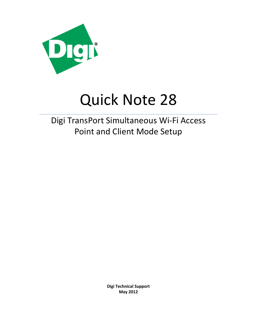

# Quick Note 28

# Digi TransPort Simultaneous Wi-Fi Access Point and Client Mode Setup

**Digi Technical Support May 2012**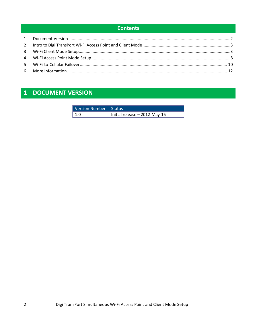## **Contents**

# <span id="page-1-0"></span>1 DOCUMENT VERSION

| Version Number   Status |                                 |
|-------------------------|---------------------------------|
| l 1.0                   | Initial release $-$ 2012-May-15 |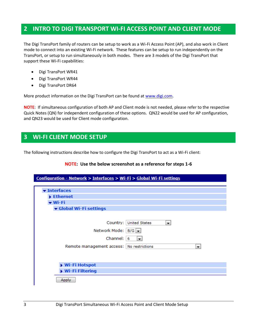# <span id="page-2-0"></span>**2 INTRO TO DIGI TRANSPORT WI-FI ACCESS POINT AND CLIENT MODE**

The Digi TransPort family of routers can be setup to work as a Wi-Fi Access Point (AP), and also work in Client mode to connect into an existing Wi-Fi network. These features can be setup to run independently on the TransPort, or setup to run simultaneously in both modes. There are 3 models of the Digi TransPort that support these Wi-Fi capabilities:

- Digi TransPort WR41
- Digi TransPort WR44
- Digi TransPort DR64

More product information on the Digi TransPort can be found at [www.digi.com.](http://www.digi.com/)

**NOTE**: If simultaneous configuration of both AP and Client mode is not needed, please refer to the respective Quick Notes (QN) for independent configuration of these options. QN22 would be used for AP configuration, and QN23 would be used for Client mode configuration.

## <span id="page-2-1"></span>**3 WI-FI CLIENT MODE SETUP**

The following instructions describe how to configure the Digi TransPort to act as a Wi-Fi client:

#### **NOTE: Use the below screenshot as a reference for steps 1-6**

| Configuration - Network > Interfaces > Wi-Fi > Global Wi-Fi settings                                                                                                   |
|------------------------------------------------------------------------------------------------------------------------------------------------------------------------|
|                                                                                                                                                                        |
| v Interfaces                                                                                                                                                           |
| Ethernet                                                                                                                                                               |
| ▼ Wi-Fi                                                                                                                                                                |
| ▼ Global Wi-Fi settings                                                                                                                                                |
| Country: United States<br>$\blacksquare$<br>Network Mode:   B/G   -<br>Channel:  <br>-6<br>$\overline{\phantom{a}}$<br>Remote management access: No restrictions<br>▼. |
| Wi-Fi Hotspot<br>Wi-Fi Filtering                                                                                                                                       |
| Apply                                                                                                                                                                  |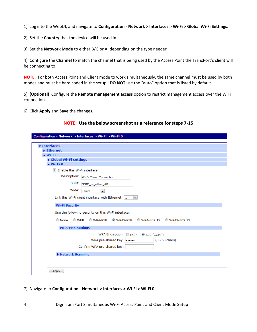1) Log into the WebUI, and navigate to **Configuration - Network > Interfaces > Wi-Fi > Global Wi-Fi Settings**.

2) Set the **Country** that the device will be used in.

3) Set the **Network Mode** to either B/G or A, depending on the type needed.

4) Configure the **Channel** to match the channel that is being used by the Access Point the TransPort's client will be connecting to.

**NOTE**: For both Access Point and Client mode to work simultaneously, the same channel must be used by both modes and must be hard coded in the setup. **DO NOT** use the "auto" option that is listed by default.

5) **(Optional)** Configure the **Remote management access** option to restrict management access over the WiFi connection.

6) Click **Apply** and **Save** the changes.

#### **NOTE: Use the below screenshot as a reference for steps 7-15**

| Configuration - Network > Interfaces > Wi-Fi > Wi-Fi 0                        |
|-------------------------------------------------------------------------------|
|                                                                               |
| v Interfaces                                                                  |
| Ethernet                                                                      |
| $\blacktriangleright$ Wi-Fi                                                   |
| Global Wi-Fi settings                                                         |
| $\blacktriangleright$ Wi-Fi <sub>0</sub>                                      |
| $\triangledown$ Enable this Wi-Fi interface                                   |
| Description: Wi-Fi Client Connection                                          |
| SSID:<br>SSID_of_other_AP                                                     |
| Mode:<br>Client<br>$\overline{\phantom{a}}$                                   |
| Link this Wi-Fi client interface with Ethernet: 1<br>$\vert \mathbf{v} \vert$ |
| <b>Wi-Fi Security</b>                                                         |
| Use the following security on this Wi-Fi interface:                           |
| © None<br>◎ WEP<br>WPA-PSK WPA2-PSK<br>WPA-802.1X WPA2-802.1X                 |
| <b>WPA-PSK Settings</b>                                                       |
| WPA Encryption: TKIP<br>C AES (CCMP)                                          |
| WPA pre-shared key:  <br>$(8 - 63 \text{ chars})$                             |
| Confirm WPA pre-shared key:                                                   |
| ▶ Network Scanning                                                            |
|                                                                               |
|                                                                               |
| Apply                                                                         |

7) Navigate to **Configuration - Network > Interfaces > Wi-Fi > Wi-Fi 0**.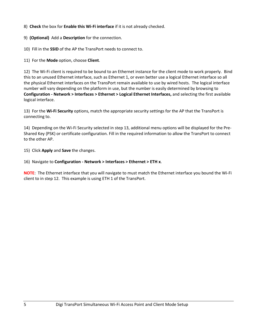8) **Check** the box for **Enable this Wi-Fi interface** if it is not already checked.

9) **(Optional)** Add a **Description** for the connection.

10) Fill in the **SSID** of the AP the TransPort needs to connect to.

11) For the **Mode** option, choose **Client**.

12) The Wi-Fi client is required to be bound to an Ethernet instance for the client mode to work properly. Bind this to an unused Ethernet interface, such as Ethernet 1, or even better use a logical Ethernet interface so all the physical Ethernet interfaces on the TransPort remain available to use by wired hosts. The logical interface number will vary depending on the platform in use, but the number is easily determined by browsing to **Configuration - Network > Interfaces > Ethernet > Logical Ethernet Interfaces,** and selecting the first available logical interface.

13) For the **Wi-Fi Security** options, match the appropriate security settings for the AP that the TransPort is connecting to.

14) Depending on the Wi-Fi Security selected in step 13, additional menu options will be displayed for the Pre-Shared Key (PSK) or certificate configuration. Fill in the required information to allow the TransPort to connect to the other AP.

15) Click **Apply** and **Save** the changes.

16) Navigate to **Configuration - Network > Interfaces > Ethernet > ETH x**.

**NOTE**: The Ethernet interface that you will navigate to must match the Ethernet interface you bound the Wi-Fi client to in step 12. This example is using ETH 1 of the TransPort.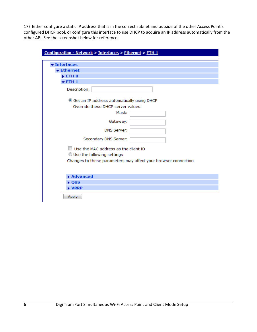17) Either configure a static IP address that is in the correct subnet and outside of the other Access Point's configured DHCP pool, or configure this interface to use DHCP to acquire an IP address automatically from the other AP. See the screenshot below for reference:

| Configuration - Network > Interfaces > Ethernet > ETH 1        |
|----------------------------------------------------------------|
|                                                                |
| <b>v</b> Interfaces                                            |
| <b>v</b> Ethernet                                              |
| $\blacktriangleright$ ETH $0$                                  |
| $\blacktriangledown$ ETH 1                                     |
| Description:                                                   |
| Set an IP address automatically using DHCP                     |
| Override these DHCP server values:                             |
| Mask:                                                          |
| Gateway:                                                       |
| <b>DNS Server:</b>                                             |
| Secondary DNS Server:                                          |
| $\Box$ Use the MAC address as the client ID                    |
| Use the following settings                                     |
| Changes to these parameters may affect your browser connection |
| Advanced                                                       |
| $\triangleright$ QoS                                           |
| ▶ VRRP                                                         |
| Apply                                                          |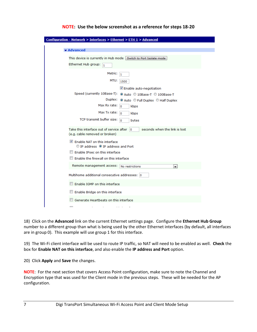| Configuration - Network > Interfaces > Ethernet > ETH 1 > Advanced                                            |
|---------------------------------------------------------------------------------------------------------------|
|                                                                                                               |
| <b>v</b> Advanced                                                                                             |
| This device is currently in Hub mode Switch to Port Isolate mode                                              |
| Ethernet Hub group: $\boxed{1}$                                                                               |
| Metric:<br>$\mathbf{1}$                                                                                       |
| MTU:<br>1500                                                                                                  |
| Enable auto-negotiation                                                                                       |
| Speed (currently 10Base-T): @ Auto @ 10Base-T @ 100Base-T                                                     |
| Duplex:<br>● Auto ● Full Duplex ● Half Duplex                                                                 |
| Max Rx rate:<br>$\overline{0}$<br>kbps                                                                        |
| Max Tx rate: $\overline{0}$<br>kbps                                                                           |
| TCP transmit buffer size:<br>$\Omega$<br>bytes                                                                |
| Take this interface out of service after 0<br>seconds when the link is lost<br>(e.g. cable removed or broken) |
| $\triangledown$ Enable NAT on this interface<br>O IP address O IP address and Port                            |
| $\Box$ Enable IPsec on this interface                                                                         |
| $\Box$ Enable the firewall on this interface                                                                  |
| Remote management access: No restrictions<br>v.                                                               |
| Multihome additional consecutive addresses: 0                                                                 |
| Enable IGMP on this interface                                                                                 |
| Enable Bridge on this interface                                                                               |
| Generate Heartbeats on this interface                                                                         |
| $\overline{ }$                                                                                                |

#### **NOTE: Use the below screenshot as a reference for steps 18-20**

18) Click on the **Advanced** link on the current Ethernet settings page. Configure the **Ethernet Hub Group** number to a different group than what is being used by the other Ethernet interfaces (by default, all interfaces are in group 0). This example will use group 1 for this interface.

19) The Wi-Fi client interface will be used to route IP traffic, so NAT will need to be enabled as well. **Check** the box for **Enable NAT on this interface**, and also enable the **IP address and Port** option.

20) Click **Apply** and **Save** the changes.

**NOTE**: For the next section that covers Access Point configuration, make sure to note the Channel and Encryption type that was used for the Client mode in the previous steps. These will be needed for the AP configuration.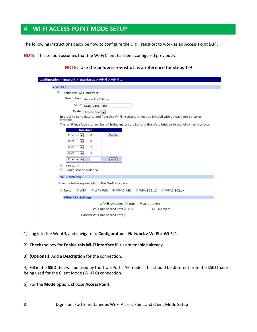# <span id="page-7-0"></span>**4 WI-FI ACCESS POINT MODE SETUP**

The following instructions describe how to configure the Digi TransPort to work as an Access Point (AP):

**NOTE**: This section assumes that the Wi-Fi Client has been configured previously.

#### **NOTE: Use the below screenshot as a reference for steps 1-9**

| Configuration - Network > Interfaces > Wi-Fi > Wi-Fi 1<br>$\blacktriangledown$ Wi-Fi 1<br>Enable this Wi-Fi interface |
|-----------------------------------------------------------------------------------------------------------------------|
|                                                                                                                       |
|                                                                                                                       |
|                                                                                                                       |
|                                                                                                                       |
| Description: Access Point Setup                                                                                       |
| SSID:<br>SSID_Goes_Here                                                                                               |
| Mode:<br>Access Point                                                                                                 |
| In order to send data to and from this Wi-Fi interface, it must be bridged with at least one Ethernet<br>interface    |
| This Wi-Fi interface is a member of Bridge instance $0 \rightarrow$ and therefore bridged to the following interfaces |
| <b>Interface</b>                                                                                                      |
| Ethernet $\vert \bullet \vert$<br>o<br><b>Delete</b>                                                                  |
| Wi-Fi<br>۳İ<br>o                                                                                                      |
|                                                                                                                       |
| Wi-Fi<br>2<br>▾▏                                                                                                      |
| 3<br>Wi-Fi<br>┯┆                                                                                                      |
| Ethernet $\vert \bullet \vert$<br>Add                                                                                 |
| <b>Hide SSID</b>                                                                                                      |
| <b>Enable station isolation</b>                                                                                       |
| <b>Wi-Fi Security</b>                                                                                                 |
|                                                                                                                       |
| Use the following security on this Wi-Fi interface:                                                                   |
| ◎ WEP<br>C None<br>WPA-PSK WPA2-PSK<br>WPA-802.1X WPA2-802.1X                                                         |
| <b>WPA-PSK Settings</b>                                                                                               |
| WPA Encryption: TKIP<br>C AES (CCMP)                                                                                  |
| WPA pre-shared key:  <br>$(8 - 63 \text{ chars})$                                                                     |
|                                                                                                                       |
| Confirm WPA pre-shared key:                                                                                           |

- 1) Log into the WebUI, and navigate to **Configuration - Network > Wi-Fi > Wi-Fi 1**.
- 2) **Check** the box for **Enable this Wi-Fi interface** if it's not enabled already.
- 3) **(Optional)** Add a **Description** for the connection.

4) Fill in the **SSID** that will be used by the TransPort's AP mode. This should be different from the SSID that is being used for the Client Mode (Wi-Fi 0) connection.

5) For the **Mode** option, choose **Access Point**.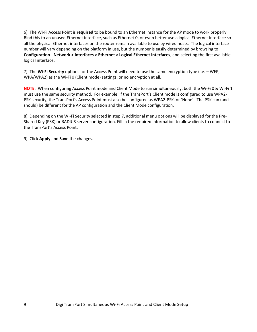6) The Wi-Fi Access Point is **required** to be bound to an Ethernet instance for the AP mode to work properly. Bind this to an unused Ethernet interface, such as Ethernet 0, or even better use a logical Ethernet interface so all the physical Ethernet interfaces on the router remain available to use by wired hosts. The logical interface number will vary depending on the platform in use, but the number is easily determined by browsing to **Configuration - Network > Interfaces > Ethernet > Logical Ethernet Interfaces**, and selecting the first available logical interface.

7) The **Wi-Fi Security** options for the Access Point will need to use the same encryption type (i.e. – WEP, WPA/WPA2) as the Wi-Fi 0 (Client mode) settings, or no encryption at all.

**NOTE**: When configuring Access Point mode and Client Mode to run simultaneously, both the Wi-Fi 0 & Wi-Fi 1 must use the same security method. For example, if the TransPort's Client mode is configured to use WPA2- PSK security, the TransPort's Access Point must also be configured as WPA2-PSK, or 'None'. The PSK can (and should) be different for the AP configuration and the Client Mode configuration.

8) Depending on the Wi-Fi Security selected in step 7, additional menu options will be displayed for the Pre-Shared Key (PSK) or RADIUS server configuration. Fill in the required information to allow clients to connect to the TransPort's Access Point.

9) Click **Apply** and **Save** the changes.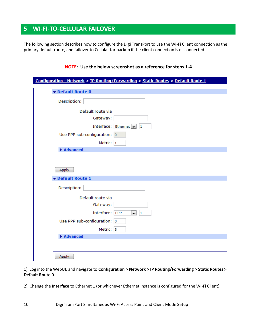# <span id="page-9-0"></span>**5 WI-FI-TO-CELLULAR FAILOVER**

The following section describes how to configure the Digi TransPort to use the Wi-Fi Client connection as the primary default route, and failover to Cellular for backup if the client connection is disconnected.

|                              | Configuration - Network > IP Routing/Forwarding > Static Routes > Default Route 1 |
|------------------------------|-----------------------------------------------------------------------------------|
| Default Route 0              |                                                                                   |
| Description:                 |                                                                                   |
| Default route via            |                                                                                   |
| Gateway:                     |                                                                                   |
|                              | Interface: Ethernet<br> 1                                                         |
| Use PPP sub-configuration: 0 |                                                                                   |
| Metric: 1                    |                                                                                   |
| ▶ Advanced                   |                                                                                   |
|                              |                                                                                   |
| Apply<br>Default Route 1     |                                                                                   |
| Description:                 |                                                                                   |
| Default route via            |                                                                                   |
| Gateway:                     |                                                                                   |
| Interface: PPP               | 1<br>×.                                                                           |
| Use PPP sub-configuration: 0 |                                                                                   |
| Metric: 3                    |                                                                                   |
| Advanced                     |                                                                                   |

1) Log into the WebUI, and navigate to **Configuration > Network > IP Routing/Forwarding > Static Routes > Default Route 0**.

2) Change the **Interface** to Ethernet 1 (or whichever Ethernet instance is configured for the Wi-Fi Client).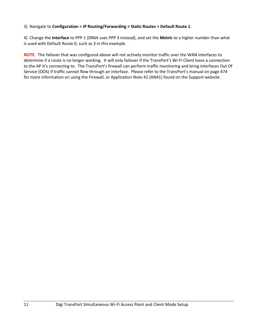#### 3) Navigate to **Configuration > IP Routing/Forwarding > Static Routes > Default Route 1**.

4) Change the **Interface** to PPP 1 (DR64 uses PPP 3 instead), and set the **Metric** to a higher number than what is used with Default Route 0, such as 3 in this example.

**NOTE**: The failover that was configured above will not actively monitor traffic over the WAN interfaces to determine if a route is no longer working. It will only failover if the TransPort's Wi-Fi Client loses a connection to the AP it's connecting to. The TransPort's firewall can perform traffic monitoring and bring interfaces Out Of Service (OOS) if traffic cannot flow through an interface. Please refer to the TransPort's manual on page 474 for more information on using the Firewall, or Application Note 41 (AN41) found on the Support website.